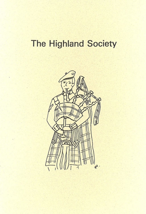# The Highland Society

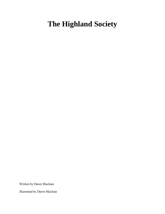# **The Highland Society**

Written by Dawn Maclean

Illustrated by Dawn Maclean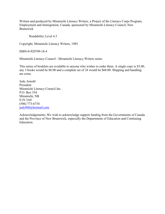Written and produced by Miramichi Literacy Writers, a Project of the Literacy Corps Program, Employment and Immigration, Canada, sponsored by Miramichi Literacy Council, New Brunswick

Readability Level 4.3

Copyright, Miramichi Literacy Writers, 1985

ISBN-0-920709-18-4

Miramichi Literacy Council - Miramichi Literacy Writers series

This series of booklets are available to anyone who wishes to order them. A single copy is \$3.00, any 3 books would be \$8.00 and a complete set of 24 would be \$60.00. Shipping and handling are extra.

Judy Arnold President Miramichi Literacy Council Inc. P.O. Box 534 Miramichi, NB E1N 3A8 (506) 773-6734 [judy960@hotmail.com](mailto:judy960@hotmail.com)

Acknowledgements:.We wish to acknowledge support funding from the Governments of Canada and the Province of New Brunswick, especially the Departments of Education and Continuing Education.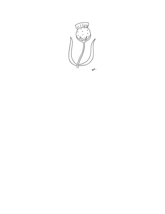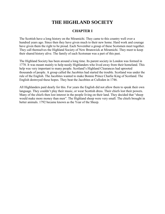### **THE HIGHLAND SOCIETY**

#### **CHAPTER I**

The Scottish have a long history on the Miramichi. They came to this country well over a hundred years ago. Since then they have given much to their new home. Hard work and courage have given them the right to be proud. Each November a group of these Scotsmen meet together. They call themselves the Highland Society of New Brunswick at Miramichi. They meet to keep their shared history alive. The family of each Scotsman was a part of this past.

The Highland Society has been around a long time. Its parent society in London was formed in 1778. It was meant mainly to help needy Highlanders who lived away from their homeland. This help was very important to many people. Scotland's Highland Clearances had uprooted thousands of people. A group called the Jacobites had started the trouble. Scotland was under the rule of the English. The Jacobites wanted to make Bonnie Prince Charlie King of Scotland. The English destroyed these hopes. They beat the Jacobites at Culloden in 1746.

All Highlanders paid dearly for this. For years the English did not allow them to speak their own language. They couldn't play their music, or wear Scottish dress. Their chiefs lost their powers. Many of the chiefs then lost interest in the people living on their land. They decided that "sheep would make more money than men". The Highland sheep were very small. The chiefs brought in better animals. 1792 became known as the Year of the Sheep.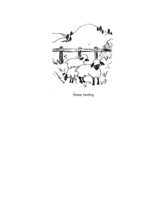

Sheep herding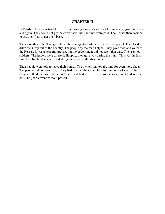#### **CHAPTER II**

In Rosshire there was trouble. The Ross' cows got onto a sheep-walk. Fines were given out again and again. They could not get the cows back until the fines were paid. The Rosses then decided to use their fists to get them back.

They won this fight. That gave them the courage to start the Rosshire Sheep Riot. They tried to drive the sheep out of the country. The people by the road helped. They gave food and water to the Rosses. It was a peaceful protest, but the government did not see it that way. They sent out soldiers. The leaders were arrested. Happily, they got away during the night. This was the last time the Highlanders ever banded together against the sheep men.

Then people were told to leave their homes. The owners wanted the land for even more sheep. The people did not want to go. They had lived in the same place for hundreds of years. The Gunns of Kildonan were driven off their land first in 1813. Irish soldiers were sent to drive them out. The people went without protest.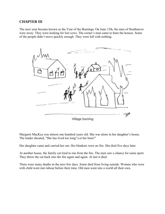#### **CHAPTER III**

The next year became known as the Year of the Burnings. On June 13th, the men of Strathnaver were away. They were looking for lost cows. The owner's men came to burn the houses. Some of the people didn't move quickly enough. They were left with nothing.



Margaret MacKay was almost one hundred years old. She was alone in her daughter's house. The leader shouted, "She has lived too long! Let her burn!"

Her daughter came and carried her out. Her blankets were on fire. She died five days later.

At another house, the family cat tried to run from the fire. The men saw a chance for some sport. They threw the cat back into the fire again and again. At last it died.

There were many deaths in the next few days. Some died from living outside. Women who were with child went into labour before their time. Old men went into a world all their own.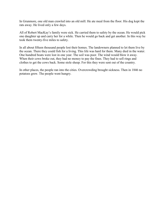In Grunmore, one old man crawled into an old mill. He ate meal from the floor. His dog kept the rats away. He lived only a few days.

All of Robert MacKay's family were sick. He carried them to safety by the ocean. He would pick one daughter up and carry her for a while. Then he would go back and get another. In this way he took them twenty-five miles to safety.

In all about fifteen thousand people lost their homes. The landowners planned to let them live by the ocean. There they could fish for a living. This life was hard for them. Many died in the water. One hundred boats were lost in one year. The soil was poor. The wind would blow it away. When their cows broke out, they had no money to pay the fines. They had to sell rings and clothes to get the cows back. Some stole sheep. For this they were sent out of the country.

In other places, the people ran into the cities. Overcrowding brought sickness. Then in 1846 no potatoes grew. The people went hungry.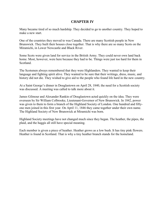#### **CHAPTER IV**

Many became tired of so much hardship. They decided to go to another country. They hoped to make a new start.

One of the countries they moved to was Canada. There are many Scottish people in New Brunswick. They built their houses close together. That is why there are so many Scots on the Miramichi, in Lower Newcastle and Black River.

Some Scots were given land for service in the British Army. They could never own land back home. Most, however, were here because they had to be. Things were just too hard for them in Scotland.

The Scotsmen always remembered that they were Highlanders. They wanted to keep their language and fighting spirit alive. They wanted to be sure that their writings, dress, music, and history did not die. They wished to give aid to the people who found life hard in the new country.

At a Saint George's dinner in Douglastown on April 28, 1840, the need for a Scottish society was discussed. A meeting was called to talk more about it.

James Gilmour and Alexander Rankin of Douglastown acted quickly on the idea. They were overseen by Sir William Colbrooke, Lieutenant-Governor of New Brunswick. In 1842, power was given to them to form a branch of the Highland Society of London. One hundred and fiftyone men joined in this first year. On April 11, 1846 they came together under their own name. The Highland Society of New Brunswick at Miramichi was born.

Highland Society meetings have not changed much since they began. The heather, the pipes, the plaid, and the haggis all still have special meaning.

Each member is given a piece of heather. Heather grows as a low bush. It has tiny pink flowers. Heather is found in Scotland. That is why a tiny heather branch stands for the homeland.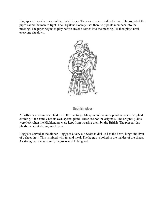Bagpipes are another piece of Scottish history. They were once used in the war. The sound of the pipes called the men to fight. The Highland Society uses them to pipe its members into the meeting. The piper begins to play before anyone comes into the meeting. He then plays until everyone sits down.



#### Scottish piper

All officers must wear a plaid tie in the meetings. Many members wear plaid hats or other plaid clothing. Each family has its own special plaid. These are not the originals. The original plaids were lost when the Highlanders were kept from wearing them by the British. The present-day plaids came into being much later.

Haggis is served at the dinner. Haggis is a very old Scottish dish. It has the heart, lungs and liver of a sheep in it. This is mixed with fat and meal. The haggis is boiled in the insides of the sheep. As strange as it may sound, haggis is said to be good.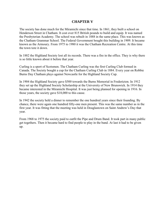#### **CHAPTER V**

The society has done much for the Miramichi since that time. In 1861, they built a school on Henderson Street in Chatham. It cost over 815 British pounds to build and equip. It was named the Presbyterian Academy. The school was rebuilt in 1888 in the same place. This was known as the Chatham Grammar School. The Federal Government bought this building in 1909. It became known as the Armoury. From 1975 to 1980 it was the Chatham Recreation Centre. At this time the town tore it down.

In 1882 the Highland Society lost all its records. There was a fire in the office. They is why there is so little known about it before that year.

Curling is a sport of Scotsmen. The Chatham Curling was the first Curling Club formed in Canada. The Society bought a cup for the Chatham Curling Club in 1884. Every year on Robbie Burns Day Chatham plays against Newcastle for the Highland Society Cup.

In 1904 the Highland Society gave \$500 towards the Burns Memorial in Fredericton. In 1912 they set up the Highland Society Scholarship at the University of New Brunswick. In 1914 they became interested in the Miramichi Hospital. It was just being planned for opening in 1916. In those years, the society gave \$18,000 to this cause.

In 1942 the society held a dinner to remember the one hundred years since their founding. By chance, there were again one hundred fifty-one men present. This was the same number as in the first year. It was fitting that the meeting was held in Douglastown on Saint Andrew's Day that year.

From 1968 to 1975 the society paid to outfit the Pipe and Drum Band. It took part in many public get togethers. Then it became hard to find people to play in the band. At last it had to be given up.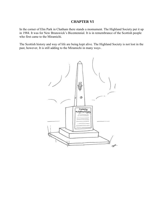#### **CHAPTER VI**

In the corner of Elm Park in Chatham there stands a momument. The Highland Society put it up in 1984. It was for New Brunswick's Bicentennial. It is in remembrance of the Scottish people who first came to the Miramichi.

The Scottish history and way of life are being kept alive. The Highland Society is not lost in the past, however, It is still adding to the Miramichi in many ways .